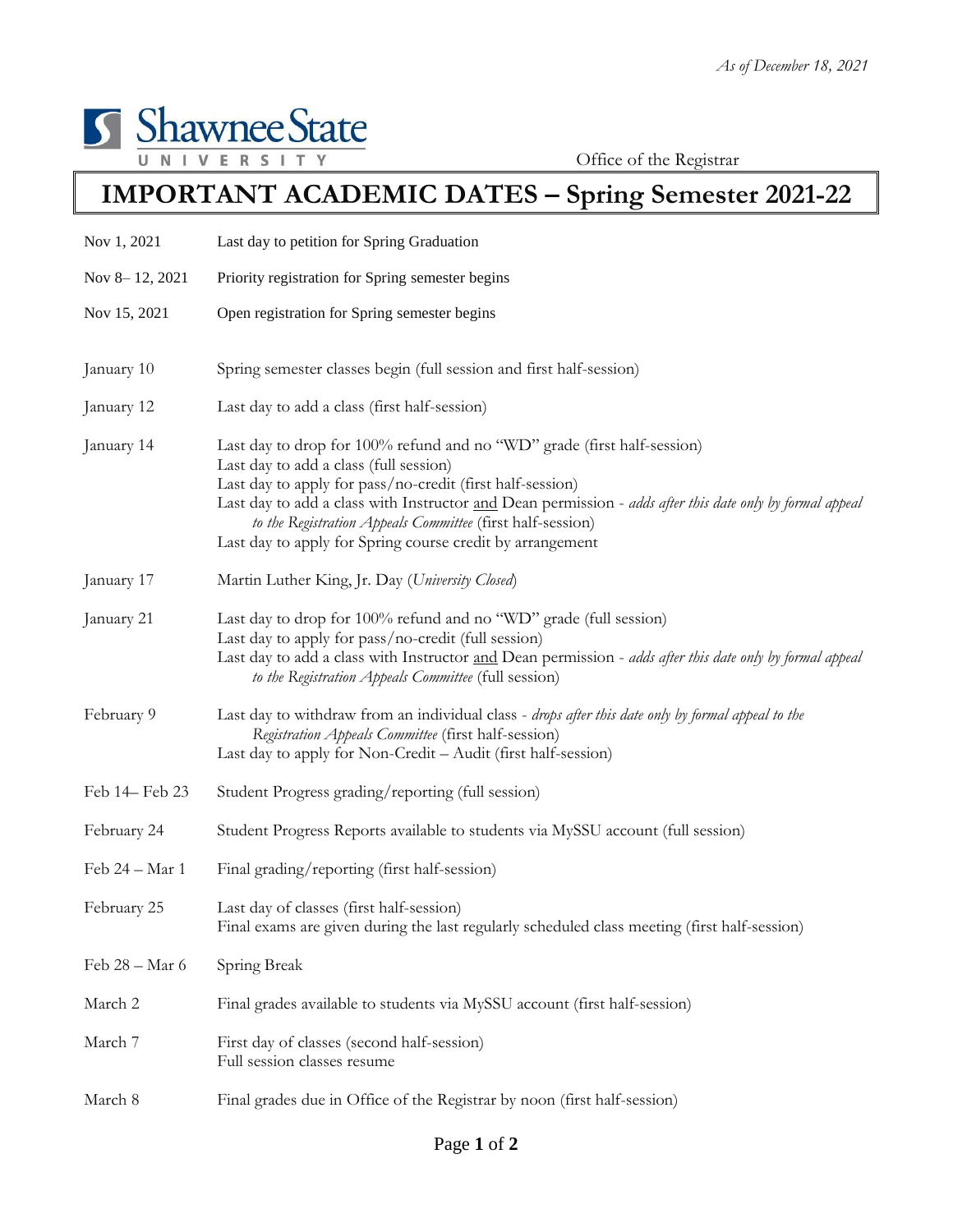

Office of the Registrar

## **IMPORTANT ACADEMIC DATES – Spring Semester 2021-22**

| Nov 1, 2021    | Last day to petition for Spring Graduation                                                                                                                                                                                                                                                                                                                                                                            |
|----------------|-----------------------------------------------------------------------------------------------------------------------------------------------------------------------------------------------------------------------------------------------------------------------------------------------------------------------------------------------------------------------------------------------------------------------|
| Nov 8-12, 2021 | Priority registration for Spring semester begins                                                                                                                                                                                                                                                                                                                                                                      |
| Nov 15, 2021   | Open registration for Spring semester begins                                                                                                                                                                                                                                                                                                                                                                          |
| January 10     | Spring semester classes begin (full session and first half-session)                                                                                                                                                                                                                                                                                                                                                   |
| January 12     | Last day to add a class (first half-session)                                                                                                                                                                                                                                                                                                                                                                          |
| January 14     | Last day to drop for 100% refund and no "WD" grade (first half-session)<br>Last day to add a class (full session)<br>Last day to apply for pass/no-credit (first half-session)<br>Last day to add a class with Instructor and Dean permission - adds after this date only by formal appeal<br>to the Registration Appeals Committee (first half-session)<br>Last day to apply for Spring course credit by arrangement |
| January 17     | Martin Luther King, Jr. Day (University Closed)                                                                                                                                                                                                                                                                                                                                                                       |
| January 21     | Last day to drop for 100% refund and no "WD" grade (full session)<br>Last day to apply for pass/no-credit (full session)<br>Last day to add a class with Instructor and Dean permission - adds after this date only by formal appeal<br>to the Registration Appeals Committee (full session)                                                                                                                          |
| February 9     | Last day to withdraw from an individual class - drops after this date only by formal appeal to the<br>Registration Appeals Committee (first half-session)<br>Last day to apply for Non-Credit - Audit (first half-session)                                                                                                                                                                                            |
| Feb 14 Feb 23  | Student Progress grading/reporting (full session)                                                                                                                                                                                                                                                                                                                                                                     |
| February 24    | Student Progress Reports available to students via MySSU account (full session)                                                                                                                                                                                                                                                                                                                                       |
| Feb 24 – Mar 1 | Final grading/reporting (first half-session)                                                                                                                                                                                                                                                                                                                                                                          |
| February 25    | Last day of classes (first half-session)<br>Final exams are given during the last regularly scheduled class meeting (first half-session)                                                                                                                                                                                                                                                                              |
| Feb 28 - Mar 6 | Spring Break                                                                                                                                                                                                                                                                                                                                                                                                          |
| March 2        | Final grades available to students via MySSU account (first half-session)                                                                                                                                                                                                                                                                                                                                             |
| March 7        | First day of classes (second half-session)<br>Full session classes resume                                                                                                                                                                                                                                                                                                                                             |
| March 8        | Final grades due in Office of the Registrar by noon (first half-session)                                                                                                                                                                                                                                                                                                                                              |
|                |                                                                                                                                                                                                                                                                                                                                                                                                                       |